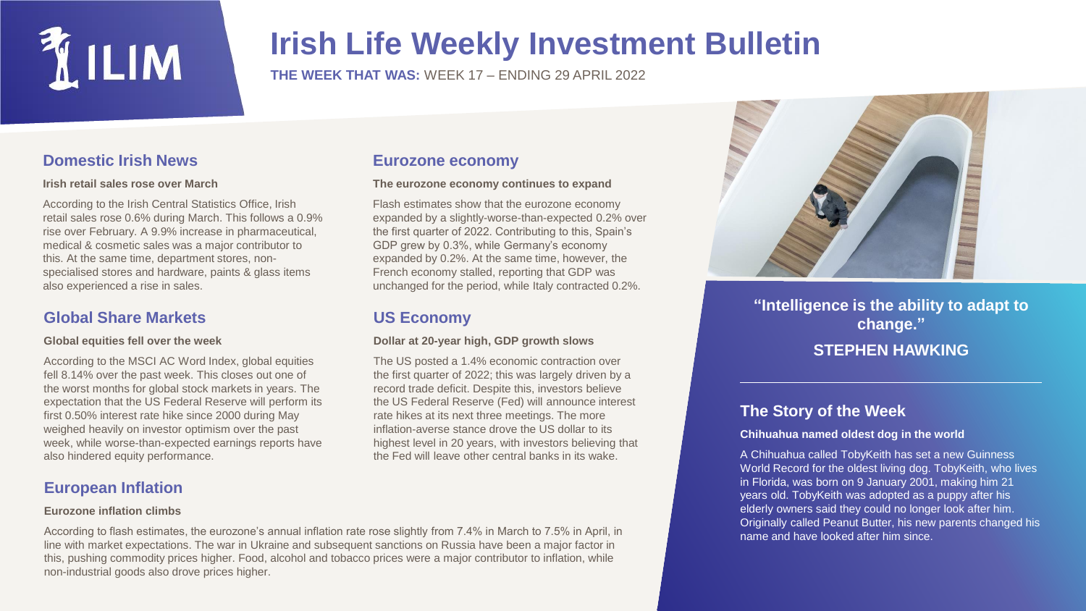

## **Irish Life Weekly Investment Bulletin**

**THE WEEK THAT WAS:** WEEK 17 – ENDING 29 APRIL 2022

## **Domestic Irish News**

#### **Irish retail sales rose over March**

According to the Irish Central Statistics Office, Irish retail sales rose 0.6% during March. This follows a 0.9% rise over February. A 9.9% increase in pharmaceutical, medical & cosmetic sales was a major contributor to this. At the same time, department stores, nonspecialised stores and hardware, paints & glass items also experienced a rise in sales.

## **Global Share Markets**

#### **Global equities fell over the week**

According to the MSCI AC Word Index, global equities fell 8.14% over the past week. This closes out one of the worst months for global stock markets in years. The expectation that the US Federal Reserve will perform its first 0.50% interest rate hike since 2000 during May weighed heavily on investor optimism over the past week, while worse-than-expected earnings reports have also hindered equity performance.

## **European Inflation**

#### **Eurozone inflation climbs**

### **Eurozone economy**

#### **The eurozone economy continues to expand**

Flash estimates show that the eurozone economy expanded by a slightly-worse-than-expected 0.2% over the first quarter of 2022. Contributing to this, Spain's GDP grew by 0.3%, while Germany's economy expanded by 0.2%. At the same time, however, the French economy stalled, reporting that GDP was unchanged for the period, while Italy contracted 0.2%.

## **US Economy**

#### **Dollar at 20-year high, GDP growth slows**

The US posted a 1.4% economic contraction over the first quarter of 2022; this was largely driven by a record trade deficit. Despite this, investors believe the US Federal Reserve (Fed) will announce interest rate hikes at its next three meetings. The more inflation-averse stance drove the US dollar to its highest level in 20 years, with investors believing that the Fed will leave other central banks in its wake.



**"Intelligence is the ability to adapt to change." STEPHEN HAWKING**

## **The Story of the Week**

#### **Chihuahua named oldest dog in the world**

A Chihuahua called TobyKeith has set a new Guinness World Record for the oldest living dog. TobyKeith, who lives in Florida, was born on 9 January 2001, making him 21 years old. TobyKeith was adopted as a puppy after his elderly owners said they could no longer look after him. Originally called Peanut Butter, his new parents changed his name and have looked after him since.

According to flash estimates, the eurozone's annual inflation rate rose slightly from 7.4% in March to 7.5% in April, in line with market expectations. The war in Ukraine and subsequent sanctions on Russia have been a major factor in this, pushing commodity prices higher. Food, alcohol and tobacco prices were a major contributor to inflation, while non-industrial goods also drove prices higher.